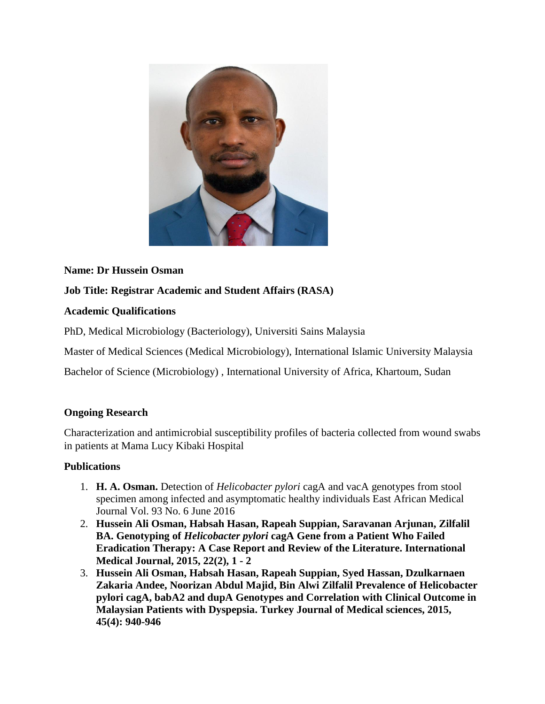

## **Name: Dr Hussein Osman**

**Job Title: Registrar Academic and Student Affairs (RASA)**

## **Academic Qualifications**

PhD, Medical Microbiology (Bacteriology), Universiti Sains Malaysia

Master of Medical Sciences (Medical Microbiology), International Islamic University Malaysia

Bachelor of Science (Microbiology) , International University of Africa, Khartoum, Sudan

## **Ongoing Research**

Characterization and antimicrobial susceptibility profiles of bacteria collected from wound swabs in patients at Mama Lucy Kibaki Hospital

## **Publications**

- 1. **H. A. Osman.** Detection of *Helicobacter pylori* cagA and vacA genotypes from stool specimen among infected and asymptomatic healthy individuals East African Medical Journal Vol. 93 No. 6 June 2016
- 2. **Hussein Ali Osman, Habsah Hasan, Rapeah Suppian, Saravanan Arjunan, Zilfalil BA. Genotyping of** *Helicobacter pylori* **cagA Gene from a Patient Who Failed Eradication Therapy: A Case Report and Review of the Literature. International Medical Journal, 2015, 22(2), 1 - 2**
- 3. **Hussein Ali Osman, Habsah Hasan, Rapeah Suppian, Syed Hassan, Dzulkarnaen Zakaria Andee, Noorizan Abdul Majid, Bin Alwi Zilfalil Prevalence of Helicobacter pylori cagA, babA2 and dupA Genotypes and Correlation with Clinical Outcome in Malaysian Patients with Dyspepsia. Turkey Journal of Medical sciences, 2015, 45(4): 940-946**